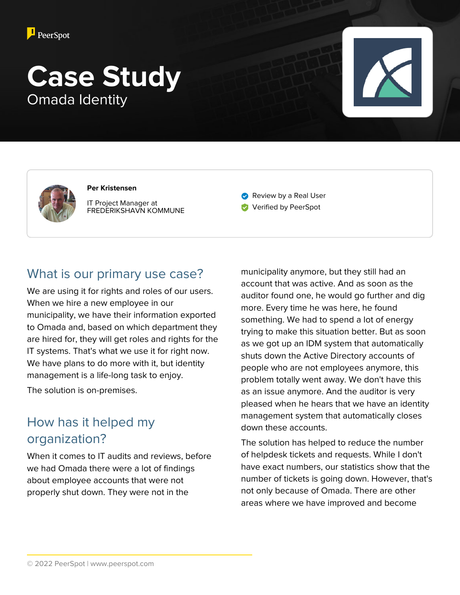

# **Case Study** Omada Identity



**Per Kristensen** IT Project Manager at FREDERIKSHAVN KOMMUNE

Review by a Real User **Verified by PeerSpot** 

### What is our primary use case?

We are using it for rights and roles of our users. When we hire a new employee in our municipality, we have their information exported to Omada and, based on which department they are hired for, they will get roles and rights for the IT systems. That's what we use it for right now. We have plans to do more with it, but identity management is a life-long task to enjoy.

The solution is on-premises.

### How has it helped my organization?

When it comes to IT audits and reviews, before we had Omada there were a lot of findings about employee accounts that were not properly shut down. They were not in the

municipality anymore, but they still had an account that was active. And as soon as the auditor found one, he would go further and dig more. Every time he was here, he found something. We had to spend a lot of energy trying to make this situation better. But as soon as we got up an IDM system that automatically shuts down the Active Directory accounts of people who are not employees anymore, this problem totally went away. We don't have this as an issue anymore. And the auditor is very pleased when he hears that we have an identity management system that automatically closes down these accounts.

The solution has helped to reduce the number of helpdesk tickets and requests. While I don't have exact numbers, our statistics show that the number of tickets is going down. However, that's not only because of Omada. There are other areas where we have improved and become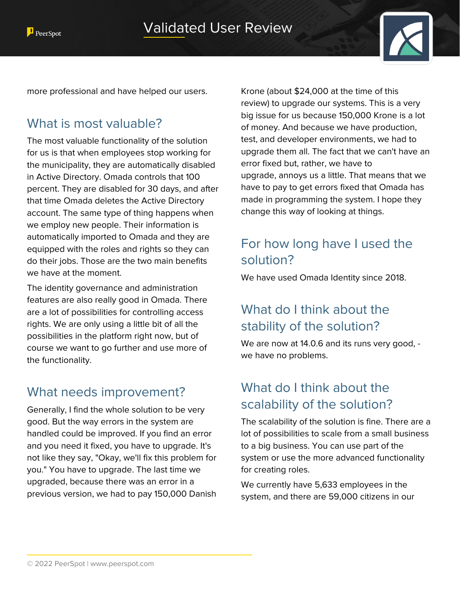

more professional and have helped our users.

### What is most valuable?

The most valuable functionality of the solution for us is that when employees stop working for the municipality, they are automatically disabled in Active Directory. Omada controls that 100 percent. They are disabled for 30 days, and after that time Omada deletes the Active Directory account. The same type of thing happens when we employ new people. Their information is automatically imported to Omada and they are equipped with the roles and rights so they can do their jobs. Those are the two main benefits we have at the moment.

The identity governance and administration features are also really good in Omada. There are a lot of possibilities for controlling access rights. We are only using a little bit of all the possibilities in the platform right now, but of course we want to go further and use more of the functionality.

### What needs improvement?

Generally, I find the whole solution to be very good. But the way errors in the system are handled could be improved. If you find an error and you need it fixed, you have to upgrade. It's not like they say, "Okay, we'll fix this problem for you." You have to upgrade. The last time we upgraded, because there was an error in a previous version, we had to pay 150,000 Danish

Krone (about \$24,000 at the time of this review) to upgrade our systems. This is a very big issue for us because 150,000 Krone is a lot of money. And because we have production, test, and developer environments, we had to upgrade them all. The fact that we can't have an error fixed but, rather, we have to upgrade, annoys us a little. That means that we have to pay to get errors fixed that Omada has made in programming the system. I hope they change this way of looking at things.

# For how long have I used the solution?

We have used Omada Identity since 2018.

# What do I think about the stability of the solution?

We are now at 14.0.6 and its runs very good, we have no problems.

### What do I think about the scalability of the solution?

The scalability of the solution is fine. There are a lot of possibilities to scale from a small business to a big business. You can use part of the system or use the more advanced functionality for creating roles.

We currently have 5,633 employees in the system, and there are 59,000 citizens in our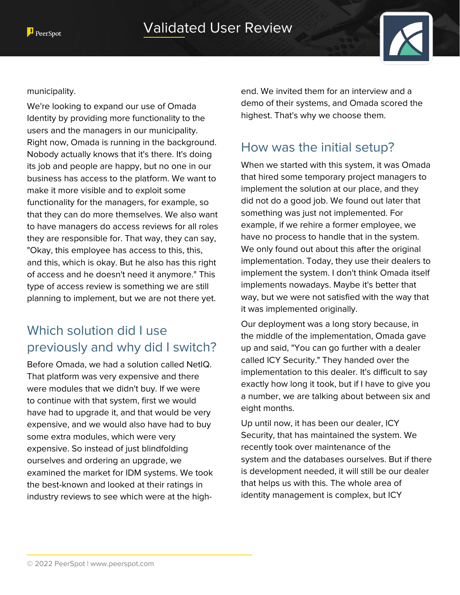

#### municipality.

We're looking to expand our use of Omada Identity by providing more functionality to the users and the managers in our municipality. Right now, Omada is running in the background. Nobody actually knows that it's there. It's doing its job and people are happy, but no one in our business has access to the platform. We want to make it more visible and to exploit some functionality for the managers, for example, so that they can do more themselves. We also want to have managers do access reviews for all roles they are responsible for. That way, they can say, "Okay, this employee has access to this, this, and this, which is okay. But he also has this right of access and he doesn't need it anymore." This type of access review is something we are still planning to implement, but we are not there yet.

# Which solution did I use previously and why did I switch?

Before Omada, we had a solution called NetIQ. That platform was very expensive and there were modules that we didn't buy. If we were to continue with that system, first we would have had to upgrade it, and that would be very expensive, and we would also have had to buy some extra modules, which were very expensive. So instead of just blindfolding ourselves and ordering an upgrade, we examined the market for IDM systems. We took the best-known and looked at their ratings in industry reviews to see which were at the highend. We invited them for an interview and a demo of their systems, and Omada scored the highest. That's why we choose them.

### How was the initial setup?

When we started with this system, it was Omada that hired some temporary project managers to implement the solution at our place, and they did not do a good job. We found out later that something was just not implemented. For example, if we rehire a former employee, we have no process to handle that in the system. We only found out about this after the original implementation. Today, they use their dealers to implement the system. I don't think Omada itself implements nowadays. Maybe it's better that way, but we were not satisfied with the way that it was implemented originally.

Our deployment was a long story because, in the middle of the implementation, Omada gave up and said, "You can go further with a dealer called ICY Security." They handed over the implementation to this dealer. It's difficult to say exactly how long it took, but if I have to give you a number, we are talking about between six and eight months.

Up until now, it has been our dealer, ICY Security, that has maintained the system. We recently took over maintenance of the system and the databases ourselves. But if there is development needed, it will still be our dealer that helps us with this. The whole area of identity management is complex, but ICY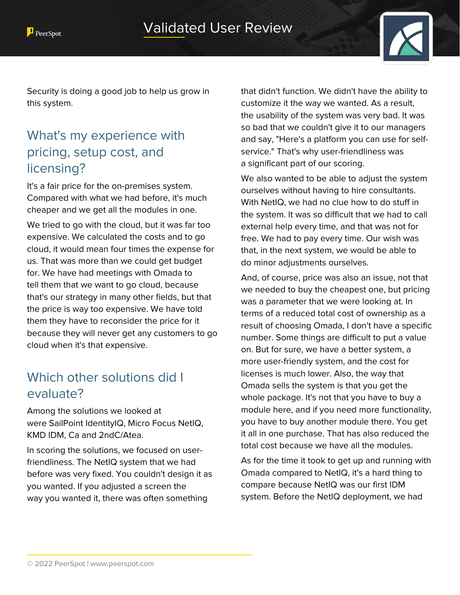

Security is doing a good job to help us grow in this system.

# What's my experience with pricing, setup cost, and licensing?

It's a fair price for the on-premises system. Compared with what we had before, it's much cheaper and we get all the modules in one.

We tried to go with the cloud, but it was far too expensive. We calculated the costs and to go cloud, it would mean four times the expense for us. That was more than we could get budget for. We have had meetings with Omada to tell them that we want to go cloud, because that's our strategy in many other fields, but that the price is way too expensive. We have told them they have to reconsider the price for it because they will never get any customers to go cloud when it's that expensive.

# Which other solutions did I evaluate?

Among the solutions we looked at were SailPoint IdentityIQ, Micro Focus NetIQ, KMD IDM, Ca and 2ndC/Atea.

In scoring the solutions, we focused on userfriendliness. The NetIQ system that we had before was very fixed. You couldn't design it as you wanted. If you adjusted a screen the way you wanted it, there was often something

that didn't function. We didn't have the ability to customize it the way we wanted. As a result, the usability of the system was very bad. It was so bad that we couldn't give it to our managers and say, "Here's a platform you can use for selfservice." That's why user-friendliness was a significant part of our scoring.

We also wanted to be able to adjust the system ourselves without having to hire consultants. With NetIQ, we had no clue how to do stuff in the system. It was so difficult that we had to call external help every time, and that was not for free. We had to pay every time. Our wish was that, in the next system, we would be able to do minor adjustments ourselves.

And, of course, price was also an issue, not that we needed to buy the cheapest one, but pricing was a parameter that we were looking at. In terms of a reduced total cost of ownership as a result of choosing Omada, I don't have a specific number. Some things are difficult to put a value on. But for sure, we have a better system, a more user-friendly system, and the cost for licenses is much lower. Also, the way that Omada sells the system is that you get the whole package. It's not that you have to buy a module here, and if you need more functionality, you have to buy another module there. You get it all in one purchase. That has also reduced the total cost because we have all the modules.

As for the time it took to get up and running with Omada compared to NetIQ, it's a hard thing to compare because NetIQ was our first IDM system. Before the NetIQ deployment, we had